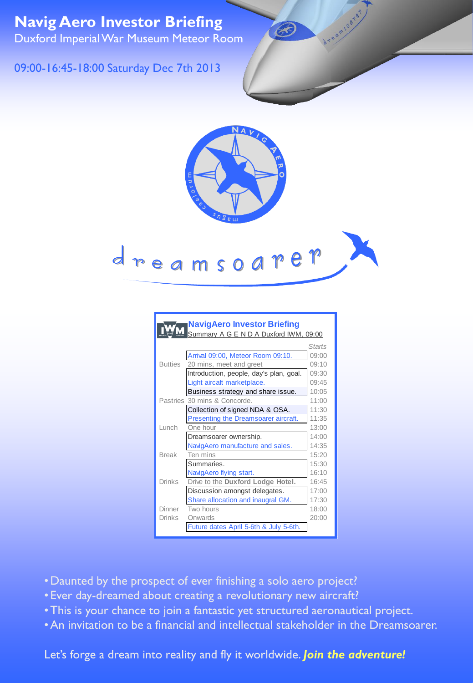**Navig Aero Investor Briefing** Duxford Imperial War Museum Meteor Room

## 09:00-16:45-18:00 Saturday Dec 7th 2013



B

## dreamsoarer

|                | <b>NavigAero Investor Briefing</b>      |        |
|----------------|-----------------------------------------|--------|
|                | Summary A G E N D A Duxford IWM, 09:00  |        |
|                |                                         | Starts |
|                | Arrival 09:00, Meteor Room 09:10.       | 09:00  |
| <b>Butties</b> | 20 mins, meet and greet                 | 09:10  |
|                | Introduction, people, day's plan, goal. | 09:30  |
|                | Light aircaft marketplace.              | 09:45  |
|                | Business strategy and share issue.      | 10:05  |
|                | Pastries 30 mins & Concorde.            | 11:00  |
|                | Collection of signed NDA & OSA.         | 11:30  |
|                | Presenting the Dreamsoarer aircraft.    | 11:35  |
| Lunch          | One hour                                | 13:00  |
|                | Dreamsoarer ownership.                  | 14:00  |
|                | NavigAero manufacture and sales.        | 14:35  |
| <b>Break</b>   | Ten mins                                | 15:20  |
|                | Summaries.                              | 15:30  |
|                | NavigAero flying start.                 | 16:10  |
| Drinks         | Drive to the Duxford Lodge Hotel.       | 16:45  |
|                | Discussion amongst delegates.           | 17:00  |
|                | Share allocation and inaugral GM.       | 17:30  |
| Dinner         | Two hours                               | 18:00  |
| Drinks         | Onwards                                 | 20:00  |
|                | Future dates April 5-6th & July 5-6th.  |        |

- •Daunted by the prospect of ever finishing a solo aero project?
- Ever day-dreamed about creating a revolutionary new aircraft?
- •This is your chance to join a fantastic yet structured aeronautical project.
- •An invitation to be a financial and intellectual stakeholder in the Dreamsoarer.

Let's forge a dream into reality and fly it worldwide. *Join the adventure!*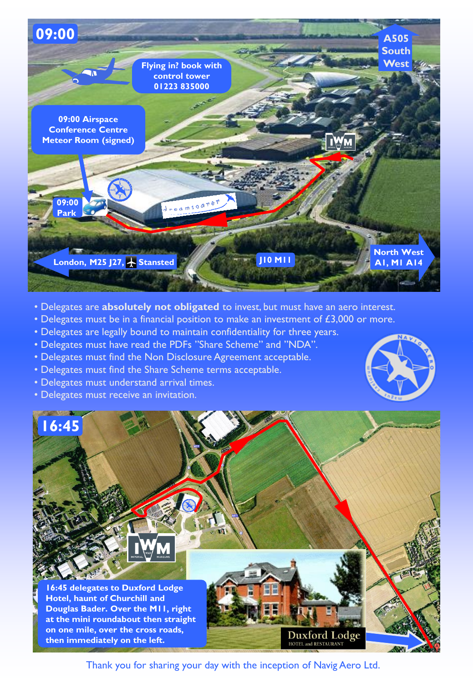

- Delegates are **absolutely not obligated** to invest, but must have an aero interest.
- Delegates must be in a financial position to make an investment of  $£3,000$  or more.
- Delegates are legally bound to maintain confidentiality for three years.
- Delegates must have read the PDFs "Share Scheme" and "NDA".
- Delegates must find the Non Disclosure Agreement acceptable.
- Delegates must find the Share Scheme terms acceptable.
- Delegates must understand arrival times.
- Delegates must receive an invitation.





Thank you for sharing your day with the inception of Navig Aero Ltd.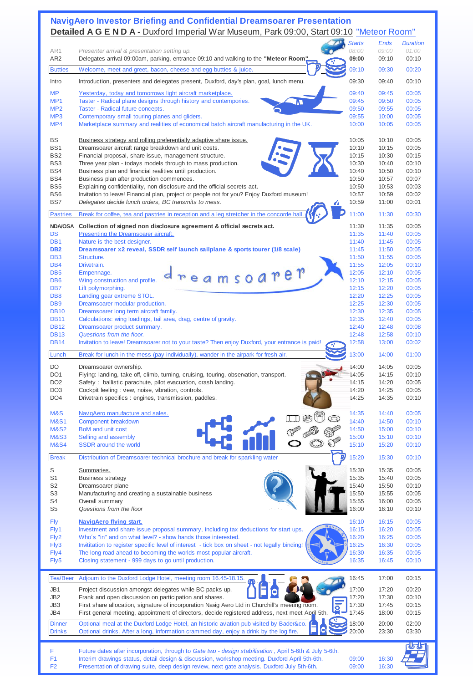## **NavigAero Investor Briefing and Confidential Dreamsoarer Presentation Detailed A G E N D A -** Duxford Imperial War Museum, Park 09:00, Start 09:10 "Meteor Room"

|                                    |                                                                                                                                                                                   | <b>Starts</b><br>08:00 | Ends<br>09:00  | <b>Duration</b><br>01:00 |
|------------------------------------|-----------------------------------------------------------------------------------------------------------------------------------------------------------------------------------|------------------------|----------------|--------------------------|
| AR1<br>AR <sub>2</sub>             | Presenter arrival & presentation setting up.<br>Delegates arrival 09:00am, parking, entrance 09:10 and walking to the "Meteor Room"                                               | 09:00                  | 09:10          | 00:10                    |
|                                    |                                                                                                                                                                                   |                        |                |                          |
| <b>Butties</b>                     | Welcome, meet and greet, bacon, cheese and egg butties & juice.                                                                                                                   | 09:10                  | 09:30          | 00:20                    |
| Intro                              | Introduction, presenters and delegates present, Duxford, day's plan, goal, lunch menu.                                                                                            | 09:30                  | 09:40          | 00:10                    |
| <b>MP</b>                          | Yesterday, today and tomorrows light aircraft marketplace.                                                                                                                        | 09:40                  | 09:45          | 00:05                    |
| MP <sub>1</sub>                    | Taster - Radical plane designs through history and contempories.                                                                                                                  | 09:45                  | 09:50          | 00:05                    |
| MP <sub>2</sub>                    | Taster - Radical future concepts.                                                                                                                                                 | 09:50                  | 09:55          | 00:05                    |
| MP <sub>3</sub>                    | Contemporary small touring planes and gliders.                                                                                                                                    | 09:55                  | 10:00          | 00:05                    |
| MP4                                | Marketplace summary and realities of economical batch aircraft manufacturing in the UK.                                                                                           | 10:00                  | 10:05          | 00:05                    |
|                                    |                                                                                                                                                                                   |                        |                |                          |
| BS                                 | Business strategy and rolling preferentially adaptive share issue.                                                                                                                | 10:05                  | 10:10          | 00:05                    |
| BS <sub>1</sub>                    | Dreamsoarer aircraft range breakdown and unit costs.                                                                                                                              | 10:10                  | 10:15          | 00:05                    |
| BS <sub>2</sub>                    | Financial proposal, share issue, management structure.                                                                                                                            | 10:15                  | 10:30          | 00:15                    |
| BS <sub>3</sub>                    | Three year plan - todays models through to mass production.                                                                                                                       | 10:30                  | 10:40          | 00:10                    |
| BS4                                | Business plan and financial realities until production.                                                                                                                           | 10:40                  | 10:50          | 00:10                    |
| BS4                                | Business plan after production commences.                                                                                                                                         | 10:50                  | 10:57          | 00:07                    |
| BS <sub>5</sub><br>BS <sub>6</sub> | Explaining confidentiality, non disclosure and the official secrets act.                                                                                                          | 10:50<br>10:57         | 10:53          | 00:03<br>00:02           |
| BS7                                | Invitation to leave! Financial plan, project or people not for you? Enjoy Duxford museum!<br>Delegates decide lunch orders, BC transmits to mess.                                 | 10:59                  | 10:59<br>11:00 | 00:01                    |
|                                    |                                                                                                                                                                                   |                        |                |                          |
| <b>Pastries</b>                    | Break for coffee, tea and pastries in reception and a leg stretcher in the concorde hall                                                                                          | 11:00                  | 11:30          | 00:30                    |
|                                    | NDA/OSA Collection of signed non disclosure agreement & official secrets act.                                                                                                     | 11:30                  | 11:35          | 00:05                    |
| <b>DS</b>                          | Presenting the Dreamsoarer aircraft.                                                                                                                                              | 11:35                  | 11:40          | 00:05                    |
| DB <sub>1</sub>                    | Nature is the best designer.                                                                                                                                                      | 11:40                  | 11:45          | 00:05                    |
| DB <sub>2</sub>                    | Dreamsoarer x2 reveal, SSDR self launch sailplane & sports tourer (1/8 scale)                                                                                                     | 11:45                  | 11:50          | 00:05                    |
| DB <sub>3</sub>                    | Structure.                                                                                                                                                                        | 11:50                  | 11:55          | 00:05                    |
| DB <sub>4</sub>                    | Drivetrain.                                                                                                                                                                       | 11:55                  | 12:05          | 00:10                    |
| DB <sub>5</sub>                    | msoaret<br>Empennage.                                                                                                                                                             | 12:05                  | 12:10          | 00:05                    |
| D <sub>B6</sub>                    | Wing construction and profile.                                                                                                                                                    | 12:10                  | 12:15          | 00:05                    |
| DB <sub>7</sub>                    | Lift polymorphing.                                                                                                                                                                | 12:15                  | 12:20          | 00:05                    |
| DB <sub>8</sub>                    | Landing gear extreme STOL.                                                                                                                                                        | 12:20                  | 12:25          | 00:05                    |
| DB <sub>9</sub>                    | Dreamsoarer modular production.                                                                                                                                                   | 12:25                  | 12:30          | 00:05                    |
| <b>DB10</b><br><b>DB11</b>         | Dreamsoarer long term aircraft family.<br>Calculations: wing loadings, tail area, drag, centre of gravity.                                                                        | 12:30<br>12:35         | 12:35<br>12:40 | 00:05<br>00:05           |
| <b>DB12</b>                        | Dreamsoarer product summary.                                                                                                                                                      | 12:40                  | 12:48          | 00:08                    |
| <b>DB13</b>                        | Questions from the floor.                                                                                                                                                         | 12:48                  | 12:58          | 00:10                    |
| <b>DB14</b>                        | Invitation to leave! Dreamsoarer not to your taste? Then enjoy Duxford, your entrance is paid!                                                                                    | 12:58                  | 13:00          | 00:02                    |
|                                    |                                                                                                                                                                                   |                        |                |                          |
| Lunch                              | Break for lunch in the mess (pay individually), wander in the airpark for fresh air.                                                                                              | 13:00                  | 14:00          | 01:00                    |
| DO                                 | Dreamsoarer ownership.                                                                                                                                                            | 14:00                  | 14:05          | 00:05                    |
| DO <sub>1</sub>                    | Flying: landing, take off, climb, turning, cruising, touring, observation, transport.                                                                                             | 14:05                  | 14:15          | 00:10                    |
| DO <sub>2</sub>                    | Safety: ballistic parachute, pilot evacuation, crash landing.                                                                                                                     | 14:15                  | 14:20          | 00:05                    |
| DO <sub>3</sub>                    | Cockpit feeling : view, noise, vibration, controls.                                                                                                                               | 14:20                  | 14:25          | 00:05                    |
| DO <sub>4</sub>                    | Drivetrain specifics: engines, transmission, paddles.                                                                                                                             | 14:25                  | 14:35          | 00:10                    |
|                                    |                                                                                                                                                                                   |                        |                |                          |
| M&S                                | NavigAero manufacture and sales.                                                                                                                                                  | 14:35                  | 14:40          | 00:05                    |
| <b>M&amp;S1</b>                    | Component breakdown                                                                                                                                                               | 14:40                  | 14:50          | 00:10                    |
| <b>M&amp;S2</b><br><b>M&amp;S3</b> | BoM and unit cost<br>Selling and assembly                                                                                                                                         | 14:50<br>15:00         | 15:00<br>15:10 | 00:10<br>00:10           |
| <b>M&amp;S4</b>                    | <b>SSDR</b> around the world                                                                                                                                                      | 15:10                  | 15:20          | 00:10                    |
|                                    |                                                                                                                                                                                   |                        |                |                          |
| <b>Break</b>                       | Distribution of Dreamsoarer technical brochure and break for sparkling water                                                                                                      | 15:20                  | 15:30          | 00:10                    |
| S                                  | Summaries.                                                                                                                                                                        | 15:30                  | 15:35          | 00:05                    |
| S <sub>1</sub>                     | <b>Business strategy</b>                                                                                                                                                          | 15:35                  | 15:40          | 00:05                    |
| S <sub>2</sub>                     | Dreamsoarer plane                                                                                                                                                                 | 15:40                  | 15:50          | 00:10                    |
| S <sub>3</sub>                     | Manufacturing and creating a sustainable business                                                                                                                                 | 15:50                  | 15:55          | 00:05                    |
| S4                                 | Overall summary                                                                                                                                                                   | 15:55                  | 16:00          | 00:05                    |
| S5                                 | Questions from the floor                                                                                                                                                          | 16:00                  | 16:10          | 00:10                    |
|                                    |                                                                                                                                                                                   | 16:10                  |                |                          |
| <b>Fly</b><br>Fly1                 | <b>NavigAero flying start.</b><br>Investment and share issue proposal summary, including tax deductions for start ups.                                                            | 16:15                  | 16:15<br>16:20 | 00:05<br>00:05           |
| Fly2                               | Who's "in" and on what level? - show hands those interested.                                                                                                                      | 16:20                  | 16:25          | 00:05                    |
| Fly3                               | Invititation to register specific level of interest - tick box on sheet - not legally binding!                                                                                    | 16:25                  | 16:30          | 00:05                    |
| Fly4                               | The long road ahead to becoming the worlds most popular aircraft.                                                                                                                 | 16:30                  | 16:35          | 00:05                    |
| Fly5                               | Closing statement - 999 days to go until production.                                                                                                                              | 16:35                  | 16:45          | 00:10                    |
|                                    |                                                                                                                                                                                   |                        |                |                          |
| <b>Tea/Beer</b>                    | Adjourn to the Duxford Lodge Hotel, meeting room 16.45-18.15.                                                                                                                     | 16:45                  | 17:00          | 00:15                    |
| JB1                                | Project discussion amongst delegates while BC packs up.                                                                                                                           | 17:00                  | 17:20          | 00:20                    |
| JB2                                | Frank and open discussion on participation and shares.                                                                                                                            | 17:20                  | 17:30          | 00:10                    |
| JB3                                | First share allocation, signature of incorporation Navig Aero Ltd in Churchill's meeting room.                                                                                    | 17:30                  | 17:45          | 00:15                    |
| JB4                                | o<br>First general meeting, appointment of directors, decide registered address, next meet April 5th.                                                                             | 17:45                  | 18:00          | 00:15                    |
|                                    |                                                                                                                                                                                   | 18:00                  |                |                          |
| <b>Dinner</b><br><b>Drinks</b>     | Optional meal at the Duxford Lodge Hotel, an historic aviation pub visited by Bader&co.<br>Optional drinks. After a long, information crammed day, enjoy a drink by the log fire. | 20:00                  | 20:00<br>23:30 | 02:00<br>03:30           |
|                                    |                                                                                                                                                                                   |                        |                |                          |
|                                    |                                                                                                                                                                                   |                        |                |                          |
| F                                  | Future dates after incorporation, through to Gate two - design stabilisation, April 5-6th & July 5-6th.                                                                           |                        |                |                          |
| F <sub>1</sub>                     | Interim drawings status, detail design & discussion, workshop meeting. Duxford April 5th-6th.                                                                                     | 09:00                  | 16:30          |                          |
| F <sub>2</sub>                     | Presentation of drawing suite, deep design review, next gate analysis. Duxford July 5th-6th.                                                                                      | 09:00                  | 16:30          |                          |